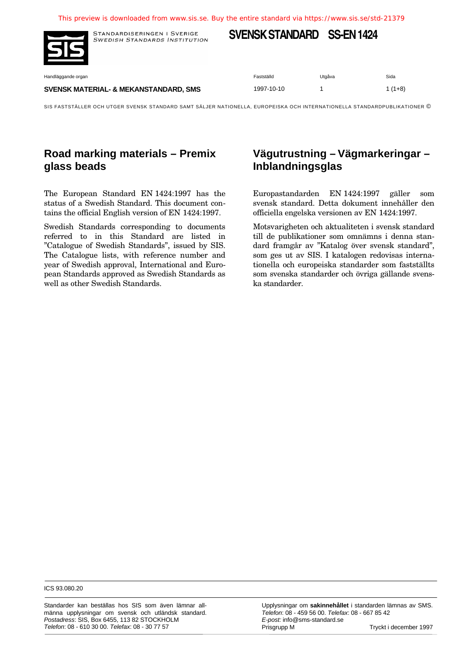

STANDARDISERINGEN I SVERIGE **SWEDISH STANDARDS INSTITUTION** 

Handläggande organ Fastställd Utgåva Sida

**SVENSK MATERIAL- & MEKANSTANDARD, SMS** 1997-10-10 1 1 (1+8)

**SVENSK STANDARD SS-EN 1424**

SIS FASTSTÄLLER OCH UTGER SVENSK STANDARD SAMT SÄLJER NATIONELLA, EUROPEISKA OCH INTERNATIONELLA STANDARDPUBLIKATIONER ©

# **Road marking materials – Premix glass beads**

The European Standard EN 1424:1997 has the status of a Swedish Standard. This document contains the official English version of EN 1424:1997.

Swedish Standards corresponding to documents referred to in this Standard are listed in "Catalogue of Swedish Standards", issued by SIS. The Catalogue lists, with reference number and year of Swedish approval, International and European Standards approved as Swedish Standards as well as other Swedish Standards.

# **Vägutrustning – Vägmarkeringar – Inblandningsglas**

Europastandarden EN 1424:1997 gäller som svensk standard. Detta dokument innehåller den officiella engelska versionen av EN 1424:1997.

Motsvarigheten och aktualiteten i svensk standard till de publikationer som omnämns i denna standard framgår av "Katalog över svensk standard", som ges ut av SIS. I katalogen redovisas internationella och europeiska standarder som fastställts som svenska standarder och övriga gällande svenska standarder.

ICS 93.080.20

Standarder kan beställas hos SIS som även lämnar allmänna upplysningar om svensk och utländsk standard. Postadress: SIS, Box 6455, 113 82 STOCKHOLM Telefon: 08 - 610 30 00. Telefax: 08 - 30 77 57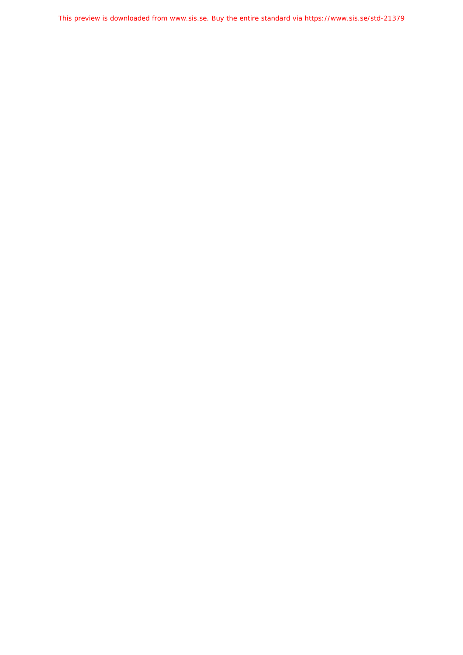This preview is downloaded from www.sis.se. Buy the entire standard via https://www.sis.se/std-21379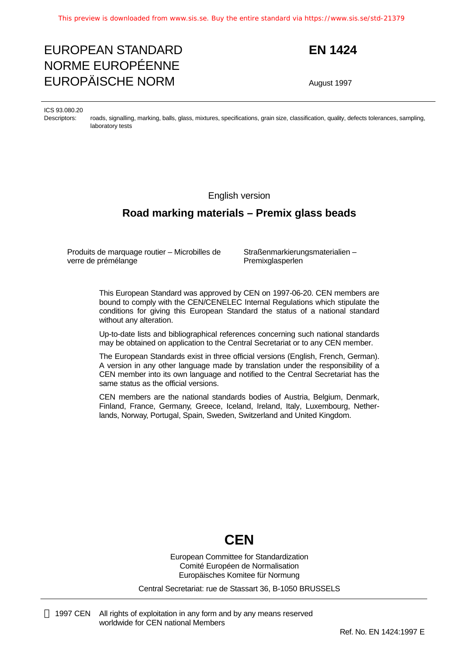# EUROPEAN STANDARD NORME EUROPÉENNE EUROPÄISCHE NORM

**EN 1424**

August 1997

ICS 93.080.20

Descriptors: roads, signalling, marking, balls, glass, mixtures, specifications, grain size, classification, quality, defects tolerances, sampling, laboratory tests

English version

## **Road marking materials – Premix glass beads**

Produits de marquage routier – Microbilles de verre de prémélange

Straßenmarkierungsmaterialien – Premixglasperlen

This European Standard was approved by CEN on 1997-06-20. CEN members are bound to comply with the CEN/CENELEC Internal Regulations which stipulate the conditions for giving this European Standard the status of a national standard without any alteration.

Up-to-date lists and bibliographical references concerning such national standards may be obtained on application to the Central Secretariat or to any CEN member.

The European Standards exist in three official versions (English, French, German). A version in any other language made by translation under the responsibility of a CEN member into its own language and notified to the Central Secretariat has the same status as the official versions.

CEN members are the national standards bodies of Austria, Belgium, Denmark, Finland, France, Germany, Greece, Iceland, Ireland, Italy, Luxembourg, Netherlands, Norway, Portugal, Spain, Sweden, Switzerland and United Kingdom.

# **CEN**

European Committee for Standardization Comité Européen de Normalisation Europäisches Komitee für Normung

Central Secretariat: rue de Stassart 36, B-1050 BRUSSELS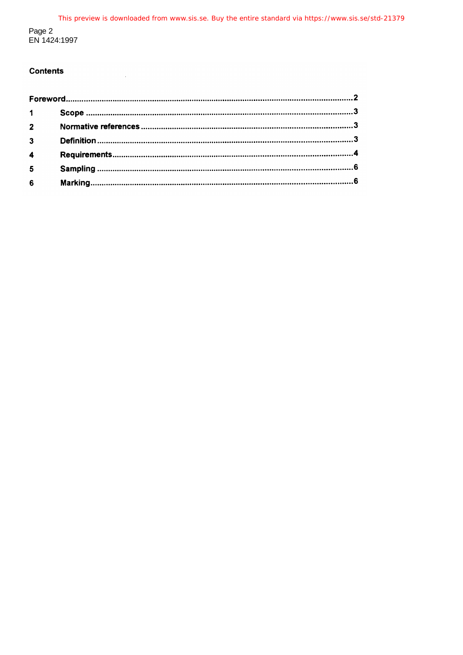Page 2 EN 1424:1997

 $\sim$ 

## **Contents**

| $1 \quad \blacksquare$  |  |  |
|-------------------------|--|--|
| $\overline{2}$          |  |  |
| 3 <sup>1</sup>          |  |  |
| $\overline{\mathbf{4}}$ |  |  |
| 5                       |  |  |
| $6^{\circ}$             |  |  |
|                         |  |  |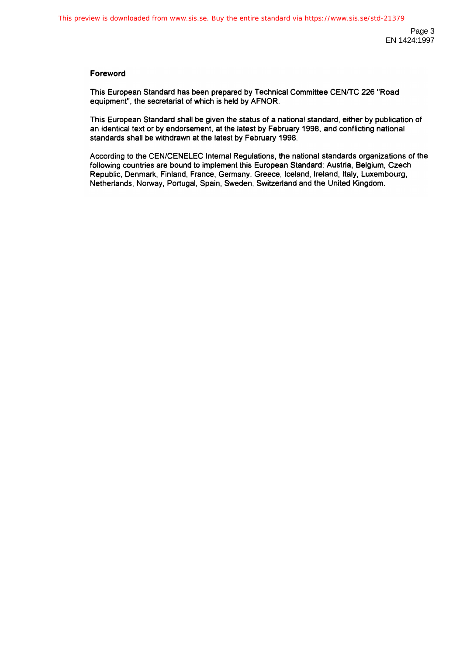### Foreword

This European Standard has been prepared by Technical Committee CEN/TC 226 "Road equipment", the secretariat of which is held by AFNOR.

This European Standard shall be given the status of a national standard, either by publication of an identical text or by endorsement, at the latest by February 1998, and conflicting national standards shall be withdrawn at the latest by February 1998.

According to the CEN/CENELEC Internal Regulations, the national standards organizations of the following countries are bound to implement this European Standard: Austria, Belgium, Czech Republic, Denmark, Finland, France, Germany, Greece, Iceland, Ireland, Italy, Luxembourg, Netherlands, Norway, Portugal, Spain, Sweden, Switzerland and the United Kingdom.